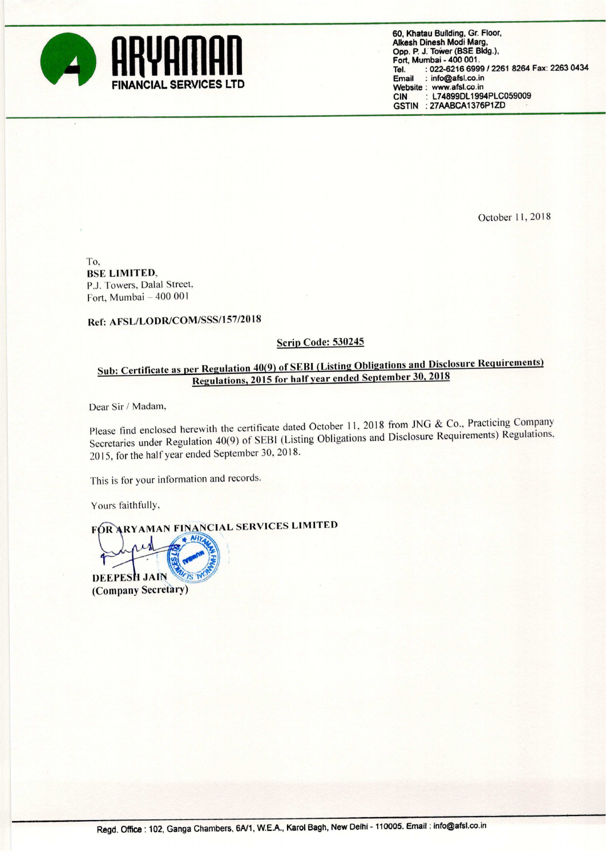

60. Khatau Building. Gr. Floor. Alkesh Dinesh Modi Marg. Opp. P. J. Tower (BSE Bldg.), Fort. Mumbai -400 001. Tel. : 022-6216 6999 / 2261 8264 Fax: 2263 0434<br>Email : info@afsl.co.in **SERVICES LTD**<br>Website: www.afsl.co.in<br>CIN: L74899DL199 L74899DL1994PLC059009 GSTIN : 27AABCA1376P1ZD

October 11,2018

To, BSE LIMITED, P.J. Towers, Dalal Street, Fort, Mumbai  $-400001$ 

Ref: AFSL/LODR/COM/SSS/l57/2018

## Scrip Code: 530245

## Sub: Certificate as per Regulation 40(9) of SEBI (Listing Obligations and Disclosure Requirements) Regulations, <sup>2015</sup> for half vear ended September 30, <sup>2018</sup>

Dear Sir / Madam,

Please find enclosed herewith the certificate dated October 11, 2018 from JNG & Co., Practicing Company Secretaries under Regulation 40(9) of SEBl (Listing Obligations and Disclosure Requirements) Regulations. 2015, for the half year ended September 30, 2018.

This is for your information and records.

Yours faithfully,

FOR ARYAMAN FINANCIAL SERVICES LIMITED

DEEPESH JAIN (Company Secretary)